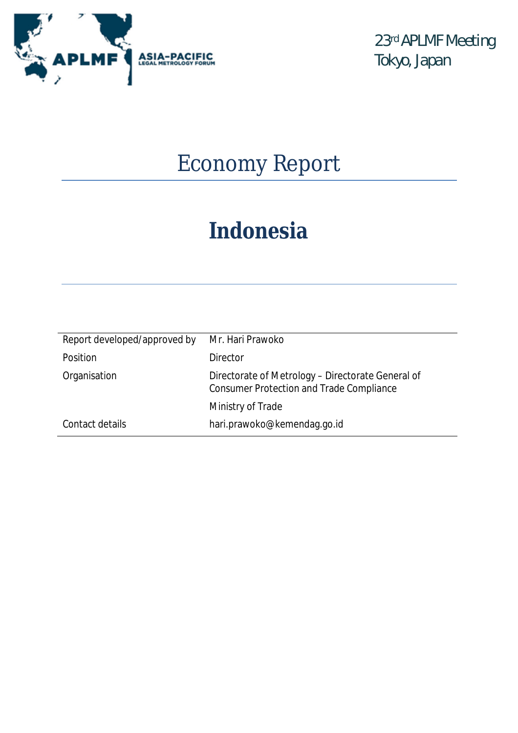

23rd APLMF Meeting Tokyo, Japan

# Economy Report

# *Indonesia*

| Report developed/approved by | Mr. Hari Prawoko                                                                                     |
|------------------------------|------------------------------------------------------------------------------------------------------|
| Position                     | <b>Director</b>                                                                                      |
| Organisation                 | Directorate of Metrology - Directorate General of<br><b>Consumer Protection and Trade Compliance</b> |
|                              | Ministry of Trade                                                                                    |
| Contact details              | hari.prawoko@kemendag.go.id                                                                          |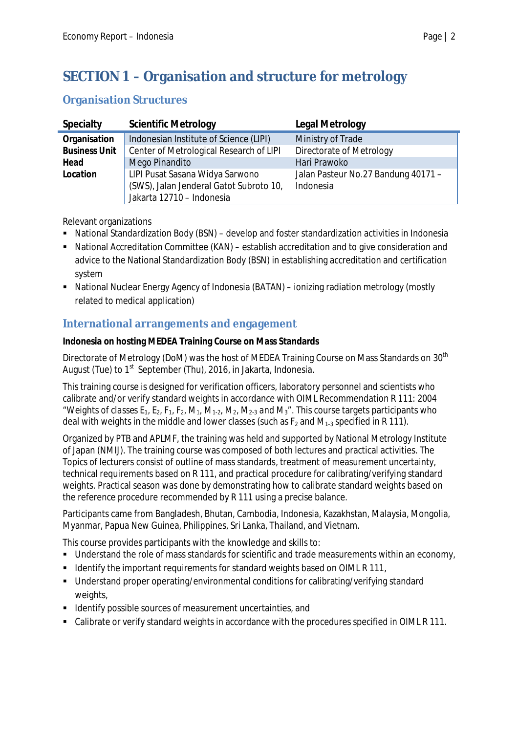# **SECTION 1 – Organisation and structure for metrology**

## **Organisation Structures**

| <b>Specialty</b>     | <b>Scientific Metrology</b>                                                                             | <b>Legal Metrology</b>                           |
|----------------------|---------------------------------------------------------------------------------------------------------|--------------------------------------------------|
| Organisation         | Indonesian Institute of Science (LIPI)                                                                  | Ministry of Trade                                |
| <b>Business Unit</b> | Center of Metrological Research of LIPI                                                                 | Directorate of Metrology                         |
| Head                 | Mego Pinandito                                                                                          | Hari Prawoko                                     |
| Location             | LIPI Pusat Sasana Widya Sarwono<br>(SWS), Jalan Jenderal Gatot Subroto 10,<br>Jakarta 12710 - Indonesia | Jalan Pasteur No.27 Bandung 40171 -<br>Indonesia |

Relevant organizations

- National Standardization Body (BSN) develop and foster standardization activities in Indonesia
- National Accreditation Committee (KAN) establish accreditation and to give consideration and advice to the National Standardization Body (BSN) in establishing accreditation and certification system
- National Nuclear Energy Agency of Indonesia (BATAN) ionizing radiation metrology (mostly related to medical application)

## **International arrangements and engagement**

#### **Indonesia on hosting MEDEA Training Course on Mass Standards**

Directorate of Metrology (DoM) was the host of MEDEA Training Course on Mass Standards on  $30^\mathrm{th}$ August (Tue) to 1<sup>st</sup> September (Thu), 2016, in Jakarta, Indonesia.

This training course is designed for verification officers, laboratory personnel and scientists who calibrate and/or verify standard weights in accordance with OIML Recommendation R 111: 2004 "Weights of classes  $E_1$ ,  $E_2$ ,  $F_1$ ,  $F_2$ ,  $M_1$ ,  $M_1$ ,  $M_2$ ,  $M_2$ ,  $M_2$ , and  $M_3$ ". This course targets participants who deal with weights in the middle and lower classes (such as  $F_2$  and  $M_{1-3}$  specified in R 111).

Organized by PTB and APLMF, the training was held and supported by National Metrology Institute of Japan (NMIJ). The training course was composed of both lectures and practical activities. The Topics of lecturers consist of outline of mass standards, treatment of measurement uncertainty, technical requirements based on R 111, and practical procedure for calibrating/verifying standard weights. Practical season was done by demonstrating how to calibrate standard weights based on the reference procedure recommended by R 111 using a precise balance.

Participants came from Bangladesh, Bhutan, Cambodia, Indonesia, Kazakhstan, Malaysia, Mongolia, Myanmar, Papua New Guinea, Philippines, Sri Lanka, Thailand, and Vietnam.

This course provides participants with the knowledge and skills to:

- Understand the role of mass standards for scientific and trade measurements within an economy,
- Identify the important requirements for standard weights based on OIML R 111,
- Understand proper operating/environmental conditions for calibrating/verifying standard weights,
- **IDENTIFY Solution** sources of measurement uncertainties, and
- Calibrate or verify standard weights in accordance with the procedures specified in OIML R 111.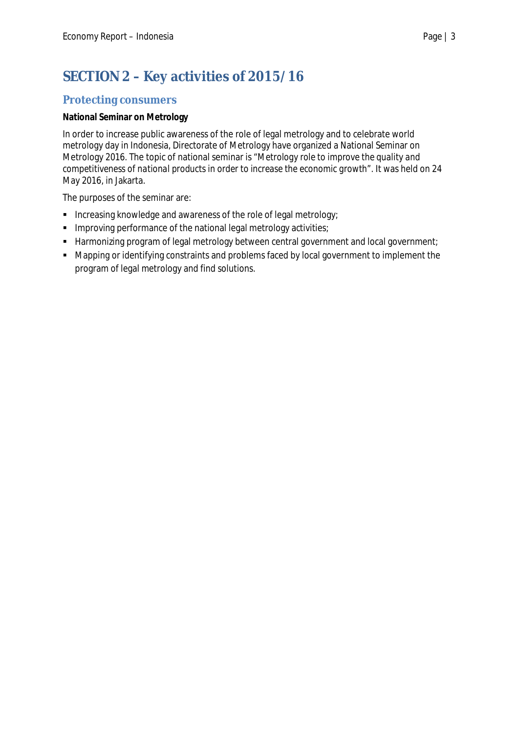# **SECTION 2 – Key activities of 2015/16**

## **Protecting consumers**

#### **National Seminar on Metrology**

In order to increase public awareness of the role of legal metrology and to celebrate world metrology day in Indonesia, Directorate of Metrology have organized a National Seminar on Metrology 2016. The topic of national seminar is *"Metrology role to improve the quality and competitiveness of national products in order to increase the economic growth"*. It was held on 24 May 2016, in Jakarta.

The purposes of the seminar are:

- **Increasing knowledge and awareness of the role of legal metrology;**
- **IMPROVING PERFORMANCE OF the national legal metrology activities;**
- Harmonizing program of legal metrology between central government and local government;
- Mapping or identifying constraints and problems faced by local government to implement the program of legal metrology and find solutions.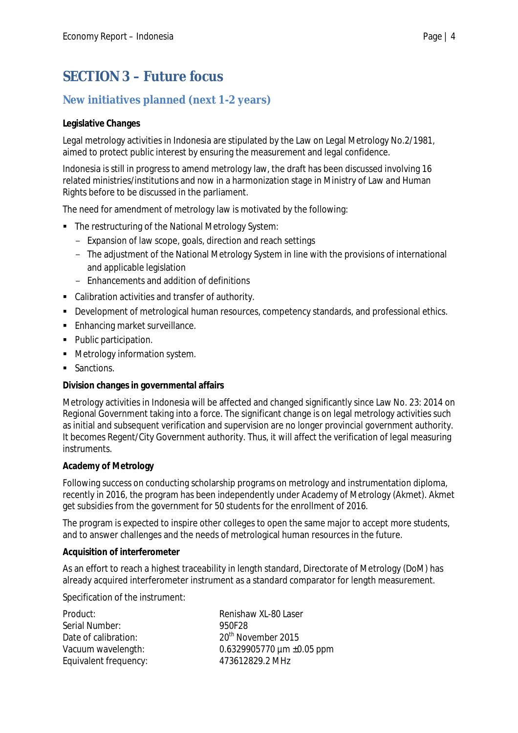## **SECTION 3 – Future focus**

## **New initiatives planned (next 1-2 years)**

#### **Legislative Changes**

Legal metrology activities in Indonesia are stipulated by the Law on Legal Metrology No.2/1981, aimed to protect public interest by ensuring the measurement and legal confidence.

Indonesia is still in progress to amend metrology law, the draft has been discussed involving 16 related ministries/institutions and now in a harmonization stage in Ministry of Law and Human Rights before to be discussed in the parliament.

The need for amendment of metrology law is motivated by the following:

- The restructuring of the National Metrology System:
	- Expansion of law scope, goals, direction and reach settings
	- The adjustment of the National Metrology System in line with the provisions of international and applicable legislation
	- Enhancements and addition of definitions
- Calibration activities and transfer of authority.
- Development of metrological human resources, competency standards, and professional ethics.
- **Enhancing market surveillance.**
- Public participation.
- **•** Metrology information system.
- Sanctions.

#### **Division changes in governmental affairs**

Metrology activities in Indonesia will be affected and changed significantly since Law No. 23: 2014 on Regional Government taking into a force. The significant change is on legal metrology activities such as initial and subsequent verification and supervision are no longer provincial government authority. It becomes Regent/City Government authority. Thus, it will affect the verification of legal measuring instruments.

#### **Academy of Metrology**

Following success on conducting scholarship programs on metrology and instrumentation diploma, recently in 2016, the program has been independently under Academy of Metrology (Akmet). Akmet get subsidies from the government for 50 students for the enrollment of 2016.

The program is expected to inspire other colleges to open the same major to accept more students, and to answer challenges and the needs of metrological human resources in the future.

#### **Acquisition of interferometer**

As an effort to reach a highest traceability in length standard, Directorate of Metrology (DoM) has already acquired interferometer instrument as a standard comparator for length measurement.

Specification of the instrument:

| Product:              | Renishaw XL-80 Laser           |
|-----------------------|--------------------------------|
| Serial Number:        | 950F28                         |
| Date of calibration:  | 20 <sup>th</sup> November 2015 |
| Vacuum wavelength:    | 0.6329905770 $\mu$ m ±0.05 ppm |
| Equivalent frequency: | 473612829.2 MHz                |